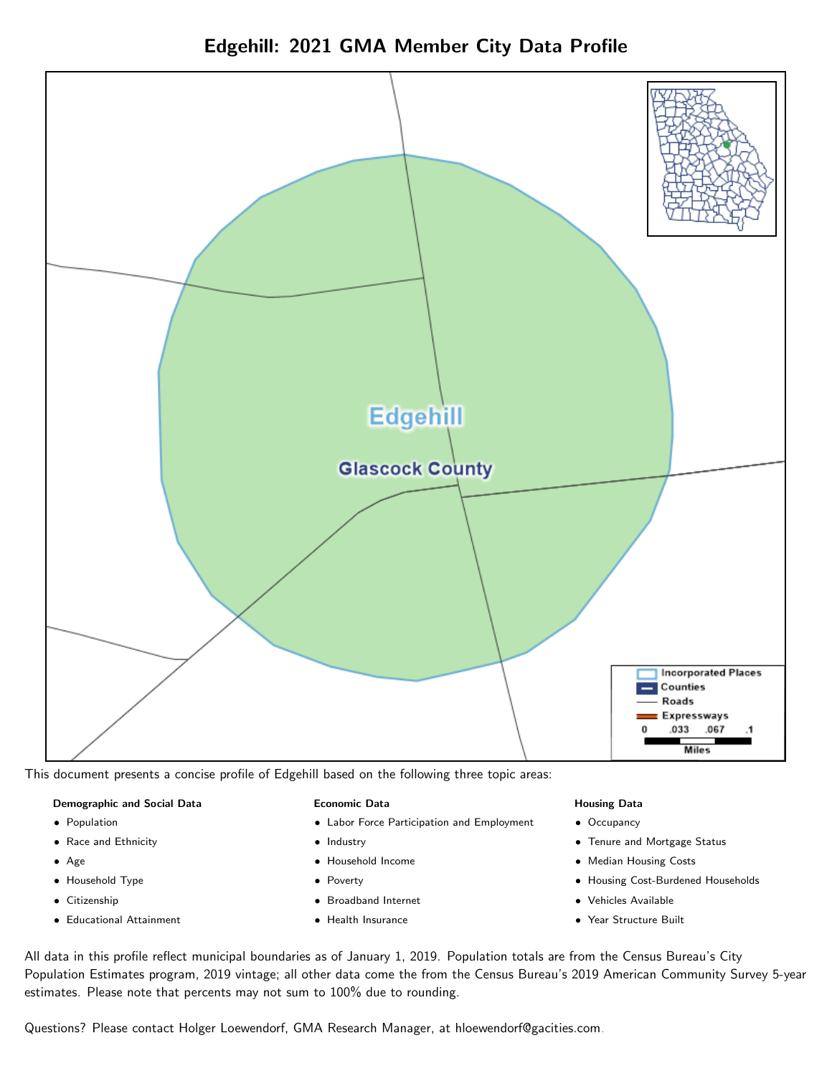Edgehill: 2021 GMA Member City Data Profile



This document presents a concise profile of Edgehill based on the following three topic areas:

#### Demographic and Social Data

- Population
- Race and Ethnicity
- Age
- Household Type
- Citizenship
- Educational Attainment

#### Economic Data

- Labor Force Participation and Employment
- Industry
- Household Income
- Poverty
- Broadband Internet
- Health Insurance

#### Housing Data

- Occupancy
- Tenure and Mortgage Status
- Median Housing Costs
- Housing Cost-Burdened Households
- Vehicles Available
- Year Structure Built

All data in this profile reflect municipal boundaries as of January 1, 2019. Population totals are from the Census Bureau's City Population Estimates program, 2019 vintage; all other data come the from the Census Bureau's 2019 American Community Survey 5-year estimates. Please note that percents may not sum to 100% due to rounding.

Questions? Please contact Holger Loewendorf, GMA Research Manager, at [hloewendorf@gacities.com.](mailto:hloewendorf@gacities.com)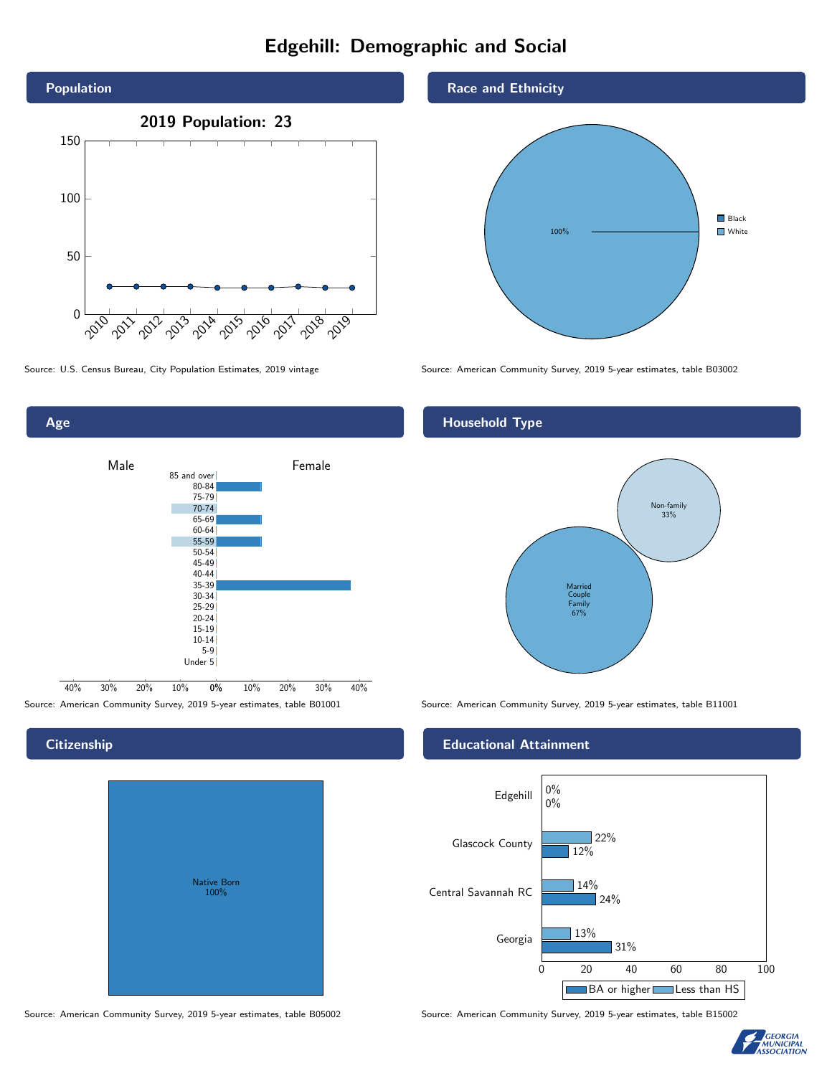# Edgehill: Demographic and Social



Age



**Citizenship** 

| <b>Native Born</b><br>100% |  |
|----------------------------|--|
|                            |  |

Race and Ethnicity



Source: U.S. Census Bureau, City Population Estimates, 2019 vintage Source: American Community Survey, 2019 5-year estimates, table B03002

## Household Type



#### Educational Attainment



Source: American Community Survey, 2019 5-year estimates, table B05002 Source: American Community Survey, 2019 5-year estimates, table B15002

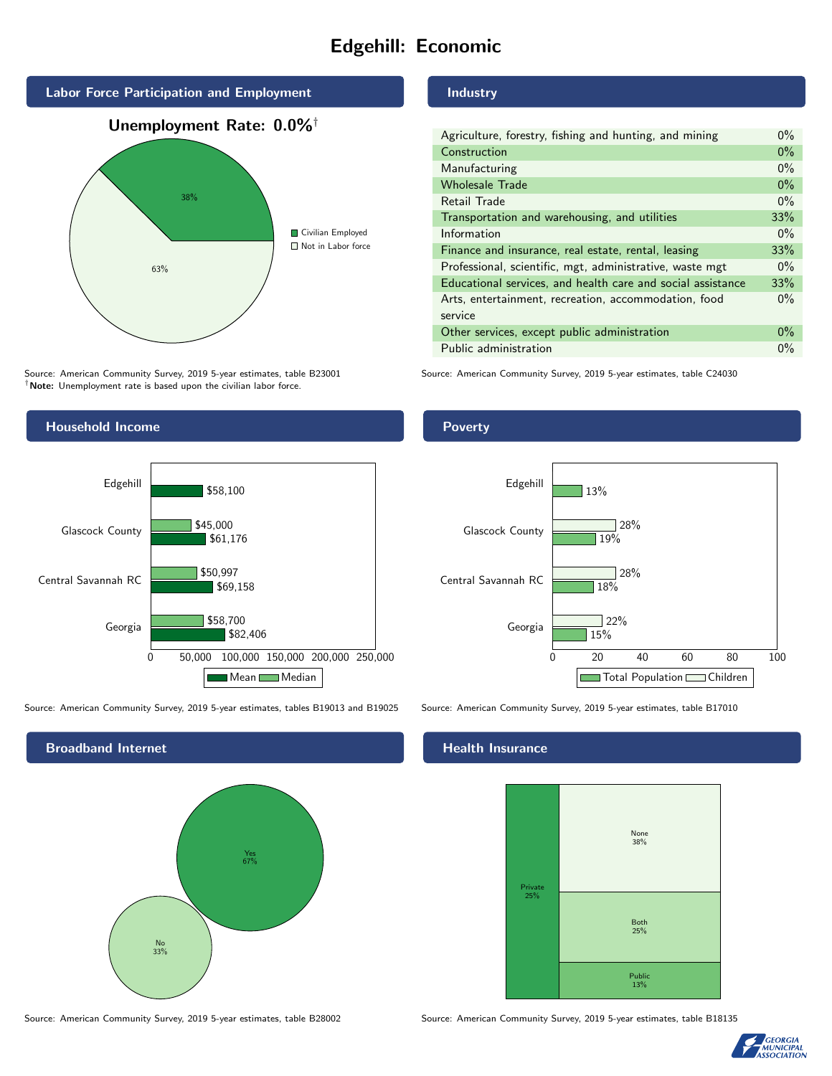# Edgehill: Economic



Source: American Community Survey, 2019 5-year estimates, table B23001 †Note: Unemployment rate is based upon the civilian labor force.



Source: American Community Survey, 2019 5-year estimates, tables B19013 and B19025 Source: American Community Survey, 2019 5-year estimates, table B17010

Broadband Internet No 33% Yes 67%

## Industry

| Agriculture, forestry, fishing and hunting, and mining      | $0\%$ |
|-------------------------------------------------------------|-------|
| Construction                                                | $0\%$ |
| Manufacturing                                               | $0\%$ |
| <b>Wholesale Trade</b>                                      | $0\%$ |
| Retail Trade                                                | $0\%$ |
| Transportation and warehousing, and utilities               |       |
| Information                                                 |       |
| Finance and insurance, real estate, rental, leasing         |       |
| Professional, scientific, mgt, administrative, waste mgt    |       |
| Educational services, and health care and social assistance |       |
| Arts, entertainment, recreation, accommodation, food        |       |
| service                                                     |       |
| Other services, except public administration                |       |
| Public administration                                       |       |
|                                                             |       |

Source: American Community Survey, 2019 5-year estimates, table C24030

### **Poverty**



#### Health Insurance



Source: American Community Survey, 2019 5-year estimates, table B28002 Source: American Community Survey, 2019 5-year estimates, table B18135